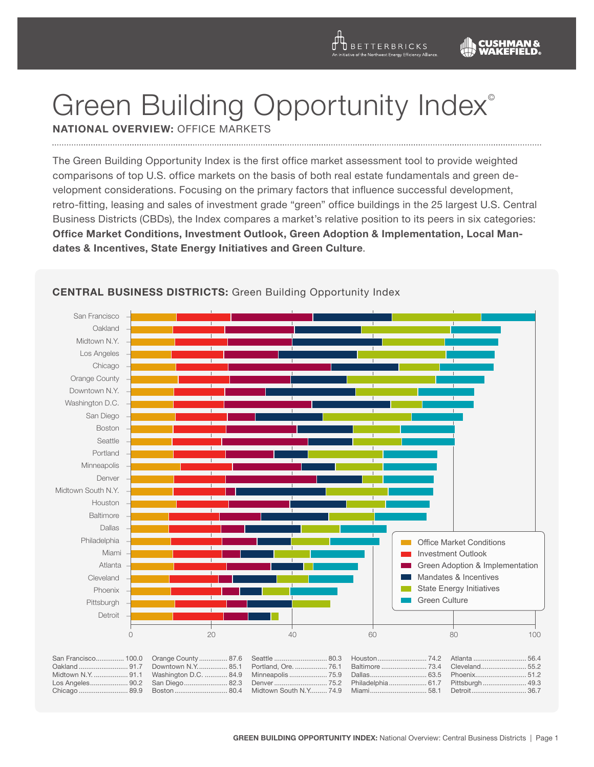**D** BETTERBRICKS

# Green Building Opportunity Index®

**National Overview:** Office Markets

The Green Building Opportunity Index is the first office market assessment tool to provide weighted comparisons of top U.S. office markets on the basis of both real estate fundamentals and green development considerations. Focusing on the primary factors that influence successful development, retro-fitting, leasing and sales of investment grade "green" office buildings in the 25 largest U.S. Central Business Districts (CBDs), the Index compares a market's relative position to its peers in six categories: **Office Market Conditions, Investment Outlook, Green Adoption & Implementation, Local Mandates & Incentives, State Energy Initiatives and Green Culture**.



# **CENTRAL BUSINESS DISTRICTS:** Green Building Opportunity Index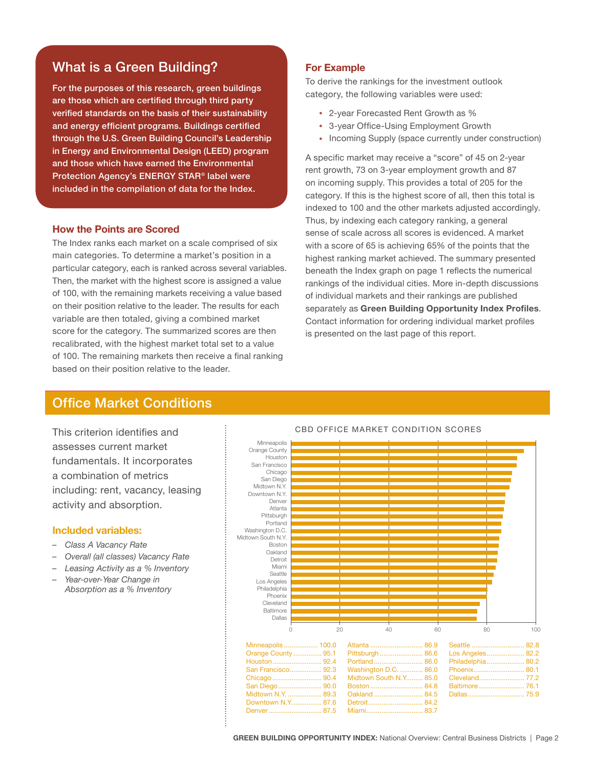# What is a Green Building?

For the purposes of this research, green buildings are those which are certified through third party verified standards on the basis of their sustainability and energy efficient programs. Buildings certified through the U.S. Green Building Council's Leadership in Energy and Environmental Design (LEED) program and those which have earned the Environmental Protection Agency's ENERGY STAR® label were included in the compilation of data for the Index.

# **How the Points are Scored**

The Index ranks each market on a scale comprised of six main categories. To determine a market's position in a particular category, each is ranked across several variables. Then, the market with the highest score is assigned a value of 100, with the remaining markets receiving a value based on their position relative to the leader. The results for each variable are then totaled, giving a combined market score for the category. The summarized scores are then recalibrated, with the highest market total set to a value of 100. The remaining markets then receive a final ranking based on their position relative to the leader.

# **For Example**

To derive the rankings for the investment outlook category, the following variables were used:

- 2-year Forecasted Rent Growth as %
- 3-year Office-Using Employment Growth
- Incoming Supply (space currently under construction)

A specific market may receive a "score" of 45 on 2-year rent growth, 73 on 3-year employment growth and 87 on incoming supply. This provides a total of 205 for the category. If this is the highest score of all, then this total is indexed to 100 and the other markets adjusted accordingly. Thus, by indexing each category ranking, a general sense of scale across all scores is evidenced. A market with a score of 65 is achieving 65% of the points that the highest ranking market achieved. The summary presented beneath the Index graph on page 1 reflects the numerical rankings of the individual cities. More in-depth discussions of individual markets and their rankings are published separately as **Green Building Opportunity Index Profiles**. Contact information for ordering individual market profiles is presented on the last page of this report.

# Office Market Conditions **Conditions**

This criterion identifies and assesses current market fundamentals. It incorporates a combination of metrics including: rent, vacancy, leasing activity and absorption.

## **Included variables:**

- *– Class A Vacancy Rate*
- *– Overall (all classes) Vacancy Rate*
- *– Leasing Activity as a % Inventory*
- *– Year-over-Year Change in Absorption as a % Inventory*



#### CBD Office Market Condition Scores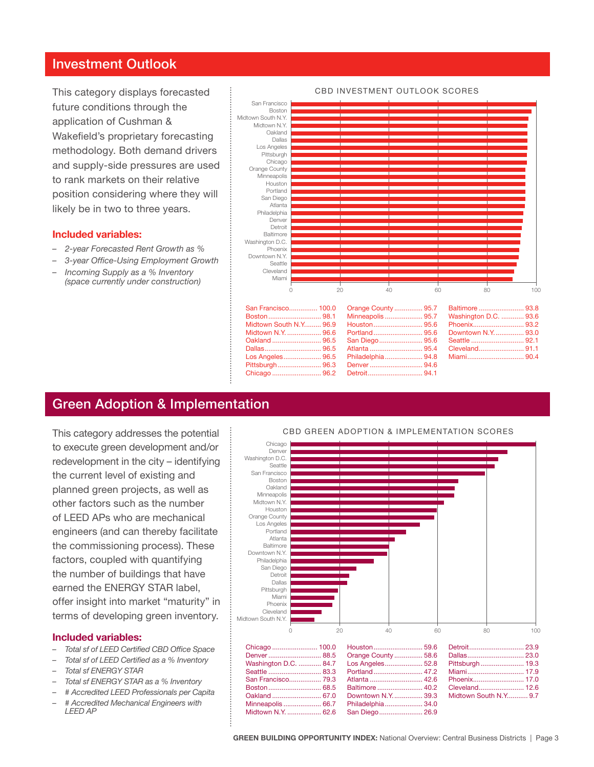# Investment Outlook

This category displays forecasted future conditions through the application of Cushman & Wakefield's proprietary forecasting methodology. Both demand drivers and supply-side pressures are used to rank markets on their relative position considering where they will likely be in two to three years.

# **Included variables:**

- *– 2-year Forecasted Rent Growth as %*
- *– 3-year Office-Using Employment Growth*
- *– Incoming Supply as a % Inventory (space currently under construction)*



|  |                             | San Francisco 100.0 Crange County 95.7 Baltimore  93.8                |  |
|--|-----------------------------|-----------------------------------------------------------------------|--|
|  |                             |                                                                       |  |
|  |                             | Midtown South N.Y 96.9   Houston 95.6   Phoenix 93.2                  |  |
|  |                             | Midtown N.Y.  96.6 Portland  95.6 Downtown N.Y.  93.0                 |  |
|  |                             | Oakland ……………………… 96.5 San Diego …………………… 95.6 Seattle ……………………… 92.1 |  |
|  |                             | Dallas 96.5  Atlanta  95.4  Cleveland 91.1                            |  |
|  |                             | Los Angeles 96.5 Philadelphia 94.8 Miami 90.4                         |  |
|  | Pittsburgh 96.3 Denver 94.6 |                                                                       |  |
|  |                             |                                                                       |  |
|  |                             |                                                                       |  |

# Green Adoption & Implementation

This category addresses the potential to execute green development and/or redevelopment in the city – identifying the current level of existing and planned green projects, as well as other factors such as the number of LEED APs who are mechanical engineers (and can thereby facilitate the commissioning process). These factors, coupled with quantifying the number of buildings that have earned the ENERGY STAR label, offer insight into market "maturity" in terms of developing green inventory.

## **Included variables:**

- *– Total sf of LEED Certified CBD Office Space*
- *– Total sf of LEED Certified as a % Inventory*
- *– Total sf ENERGY STAR*
- *– Total sf ENERGY STAR as a % Inventory*
- *– # Accredited LEED Professionals per Capita*
- *– # Accredited Mechanical Engineers with LEED AP*



#### CBD Green Adoption & Implementation Scores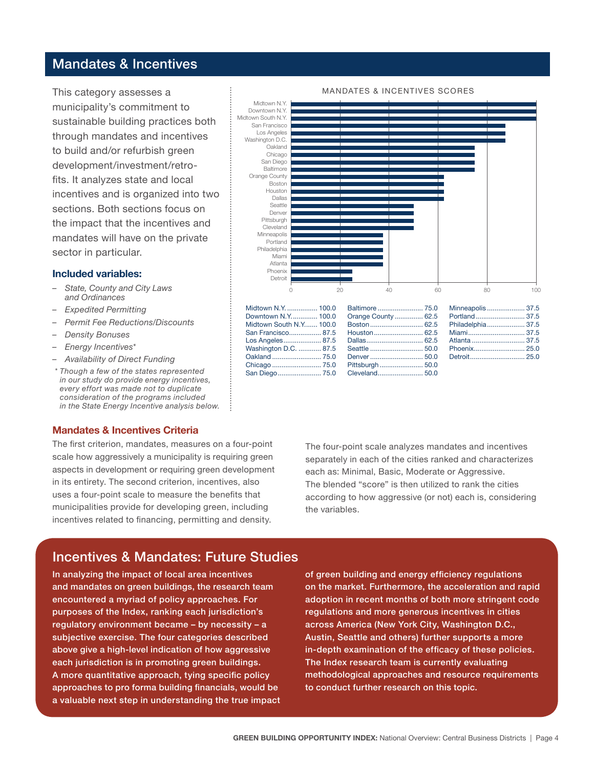# Mandates & Incentives

This category assesses a municipality's commitment to sustainable building practices both through mandates and incentives to build and/or refurbish green development/investment/retrofits. It analyzes state and local incentives and is organized into two sections. Both sections focus on the impact that the incentives and mandates will have on the private sector in particular.

## **Included variables:**

- *– State, County and City Laws and Ordinances*
- *– Expedited Permitting*
- *– Permit Fee Reductions/Discounts*
- *– Density Bonuses*
- *– Energy Incentives\**
- *– Availability of Direct Funding*
- *\* Though a few of the states represented in our study do provide energy incentives, every effort was made not to duplicate consideration of the programs included in the State Energy Incentive analysis below.*

## **Mandates & Incentives Criteria**

The first criterion, mandates, measures on a four-point scale how aggressively a municipality is requiring green aspects in development or requiring green development in its entirety. The second criterion, incentives, also uses a four-point scale to measure the benefits that municipalities provide for developing green, including incentives related to financing, permitting and density.



#### Mandates & Incentives Scores

| Midtown N.Y.  100.0 Baltimore  75.0 Minneapolis  37.5   |  |
|---------------------------------------------------------|--|
| Downtown N.Y 100.0 Orange County 62.5 Portland 37.5     |  |
| Midtown South N.Y 100.0 Boston  62.5 Philadelphia  37.5 |  |
|                                                         |  |
| Los Angeles 87.5 Dallas 62.5 Atlanta  37.5              |  |
| Washington D.C.  87.5 Seattle  50.0 Phoenix 25.0        |  |
|                                                         |  |
|                                                         |  |
|                                                         |  |
|                                                         |  |

The four-point scale analyzes mandates and incentives separately in each of the cities ranked and characterizes each as: Minimal, Basic, Moderate or Aggressive. The blended "score" is then utilized to rank the cities according to how aggressive (or not) each is, considering the variables.

# Incentives & Mandates: Future Studies

In analyzing the impact of local area incentives and mandates on green buildings, the research team encountered a myriad of policy approaches. For purposes of the Index, ranking each jurisdiction's regulatory environment became – by necessity – a subjective exercise. The four categories described above give a high-level indication of how aggressive each jurisdiction is in promoting green buildings. A more quantitative approach, tying specific policy approaches to pro forma building financials, would be a valuable next step in understanding the true impact of green building and energy efficiency regulations on the market. Furthermore, the acceleration and rapid adoption in recent months of both more stringent code regulations and more generous incentives in cities across America (New York City, Washington D.C., Austin, Seattle and others) further supports a more in-depth examination of the efficacy of these policies. The Index research team is currently evaluating methodological approaches and resource requirements to conduct further research on this topic.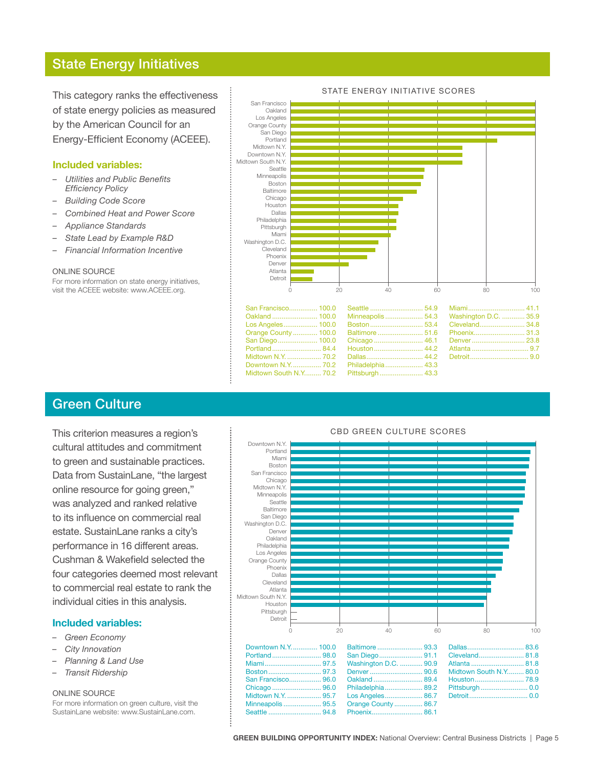# State Energy Initiatives

This category ranks the effectiveness of state energy policies as measured by the American Council for an Energy-Efficient Economy (ACEEE).

# **Included variables:**

- *– Utilities and Public Benefits Efficiency Policy*
- *– Building Code Score*
- *– Combined Heat and Power Score*
- *– Appliance Standards*
- *– State Lead by Example R&D*
- **Financial Information Incentive**

#### ONLINE SOURCE

For more information on state energy initiatives, visit the ACEEE website: www.ACEEE.org.



| San Francisco 100.0 Seattle  54.9 Miami 41.1                          |  |  |
|-----------------------------------------------------------------------|--|--|
| Oakland  100.0 Minneapolis  54.3 Washington D.C.  35.9                |  |  |
| Los Angeles……………… 100.0  Boston……………………… 53.4  Cleveland…………………… 34.8 |  |  |
| Orange County  100.0 Baltimore  51.6 Phoenix 31.3                     |  |  |
| San Diego 100.0 Chicago 46.1 Denver  23.8                             |  |  |
|                                                                       |  |  |
| Midtown N.Y.  70.2  Dallas…… 44.2  Detroit…… 9.0                      |  |  |
| Downtown N.Y 70.2    Philadelphia 43.3                                |  |  |
| Midtown South N.Y 70.2    Pittsburgh 43.3                             |  |  |

# Green Culture

This criterion measures a region's cultural attitudes and commitment to green and sustainable practices. Data from SustainLane, "the largest online resource for going green," was analyzed and ranked relative to its influence on commercial real estate. SustainLane ranks a city's performance in 16 different areas. Cushman & Wakefield selected the four categories deemed most relevant to commercial real estate to rank the individual cities in this analysis.

# **Included variables:**

- *– Green Economy*
- *– City Innovation*
- *– Planning & Land Use*
- *– Transit Ridership*

#### ONLINE SOURCE

For more information on green culture, visit the SustainLane website: www.SustainLane.com.



# CBD Green Culture Scores

## STATE ENERGY INITIATIVE SCORES